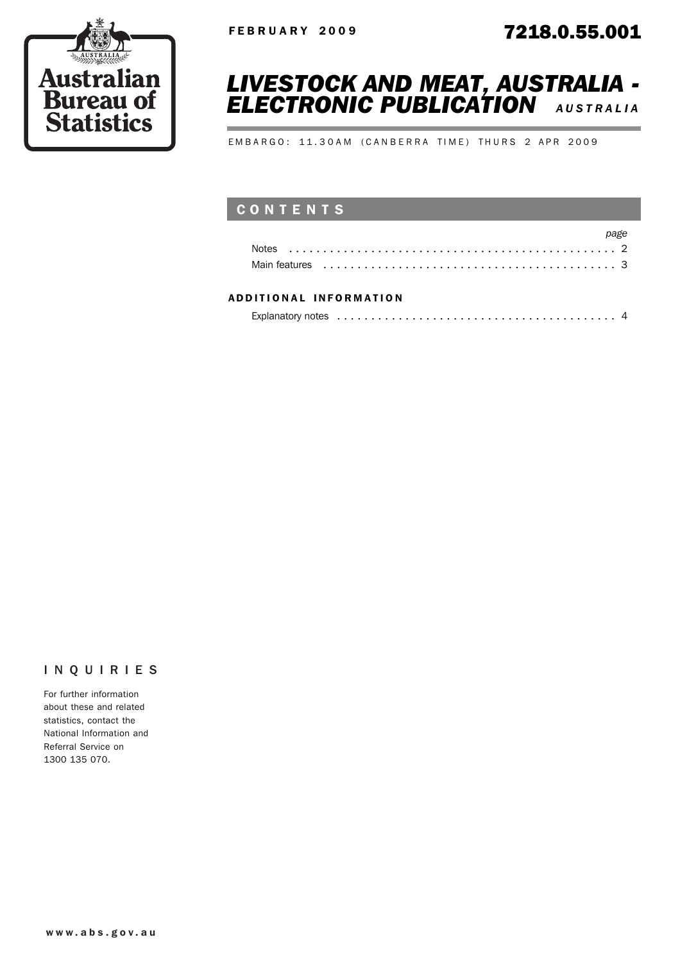



EMBARGO: 11.30AM (CANBERRA TIME) THURS 2 APR 2009

## CONTENTS

| Main features enterpreteration of the contract of the contract of the contract of the main feature of the feature |  |
|-------------------------------------------------------------------------------------------------------------------|--|

#### ADD ITIONAL INFORMATION

#### INQUIRIES

For further information about these and related statistics, contact the National Information and Referral Service on 1300 135 070.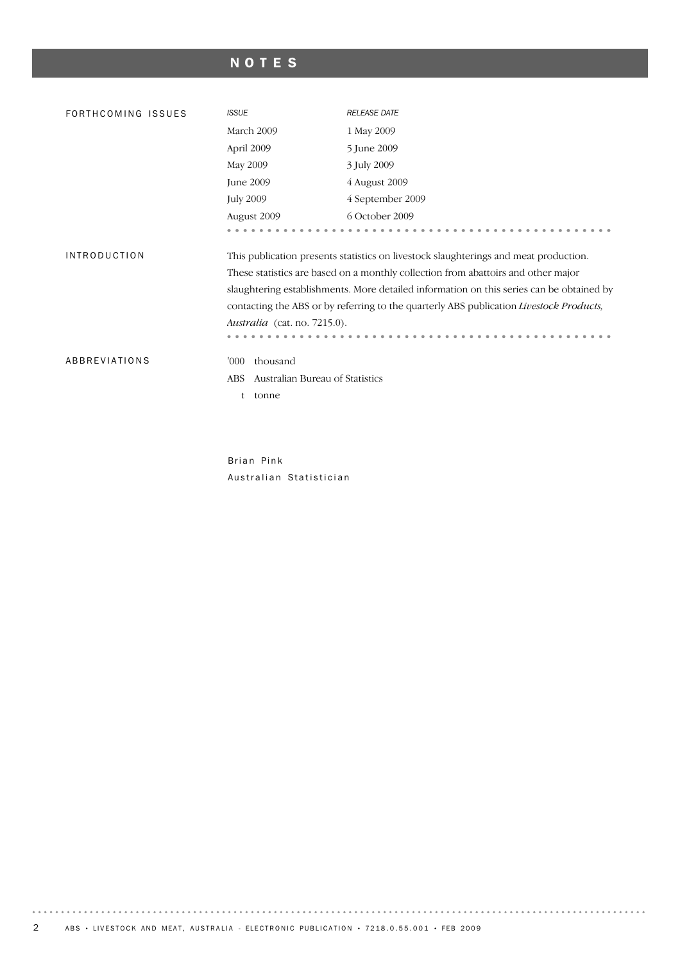# NOTES

| FORTHCOMING ISSUES  | <b>ISSUE</b>                                                          | <b>RELEASE DATE</b>                                                                                                                                                                                                                                                                                                                                              |
|---------------------|-----------------------------------------------------------------------|------------------------------------------------------------------------------------------------------------------------------------------------------------------------------------------------------------------------------------------------------------------------------------------------------------------------------------------------------------------|
|                     | March 2009                                                            | 1 May 2009                                                                                                                                                                                                                                                                                                                                                       |
|                     | April 2009                                                            | 5 June 2009                                                                                                                                                                                                                                                                                                                                                      |
|                     | May 2009                                                              | 3 July 2009                                                                                                                                                                                                                                                                                                                                                      |
|                     | June 2009                                                             | 4 August 2009                                                                                                                                                                                                                                                                                                                                                    |
|                     | <b>July 2009</b>                                                      | 4 September 2009                                                                                                                                                                                                                                                                                                                                                 |
|                     | August 2009                                                           | 6 October 2009                                                                                                                                                                                                                                                                                                                                                   |
|                     |                                                                       |                                                                                                                                                                                                                                                                                                                                                                  |
| <b>INTRODUCTION</b> | Australia (cat. no. 7215.0).                                          | This publication presents statistics on livestock slaughterings and meat production.<br>These statistics are based on a monthly collection from abattoirs and other major<br>slaughtering establishments. More detailed information on this series can be obtained by<br>contacting the ABS or by referring to the quarterly ABS publication Livestock Products, |
| ABBREVIATIONS       | thousand<br>'000'<br>Australian Bureau of Statistics<br>ABS.<br>tonne |                                                                                                                                                                                                                                                                                                                                                                  |

Brian Pink Australian Statistician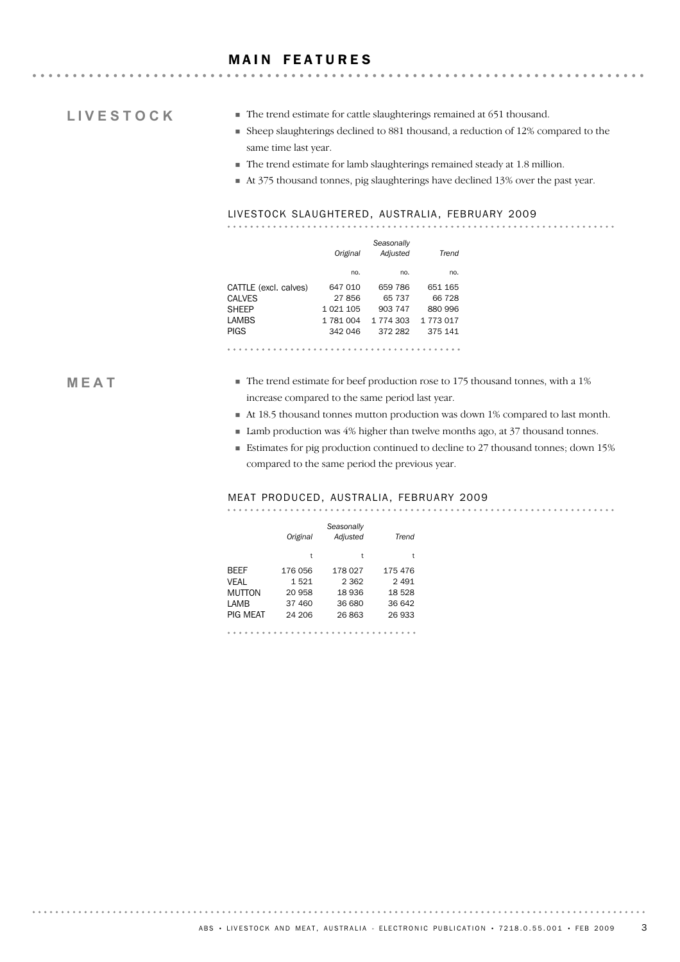#### **MAIN FEATURES**

## **LIVESTOCK**

- ! The trend estimate for cattle slaughterings remained at 651 thousand.
- ! Sheep slaughterings declined to 881 thousand, a reduction of 12% compared to the same time last year.
- ! The trend estimate for lamb slaughterings remained steady at 1.8 million.
- ! At 375 thousand tonnes, pig slaughterings have declined 13% over the past year.

#### LIVESTOCK SLAUGHTERED, AUSTRALIA, FEBRUARY 2009

|                       | Original  | Seasonally<br>Adjusted | Trend     |
|-----------------------|-----------|------------------------|-----------|
|                       | no.       | no.                    | no.       |
| CATTLE (excl. calves) | 647 010   | 659 786                | 651 165   |
| <b>CALVES</b>         | 27856     | 65 737                 | 66 728    |
| <b>SHEEP</b>          | 1 021 105 | 903 747                | 880 996   |
| LAMBS                 | 1 781 004 | 1 774 303              | 1 773 017 |
| PIGS                  | 342 046   | 372 282                | 375 141   |
|                       |           |                        |           |

#### **MEAT**

- ! The trend estimate for beef production rose to 175 thousand tonnes, with a 1% increase compared to the same period last year.
- ! At 18.5 thousand tonnes mutton production was down 1% compared to last month.
- Lamb production was 4% higher than twelve months ago, at 37 thousand tonnes.
- ! Estimates for pig production continued to decline to 27 thousand tonnes; down 15% compared to the same period the previous year.

#### MEAT PRODUCED, AUSTRALIA, FEBRUARY 2009

|          | Original | Seasonally<br>Adjusted | Trend   |
|----------|----------|------------------------|---------|
|          | t        | t                      | t       |
| BEEF     | 176 056  | 178 027                | 175 476 |
| VEAL     | 1521     | 2 3 6 2                | 2 4 9 1 |
| MUTTON   | 20 958   | 18 936                 | 18528   |
| LAMB     | 37 460   | 36 680                 | 36 642  |
| PIG MEAT | 24 206   | 26863                  | 26 933  |
|          |          |                        |         |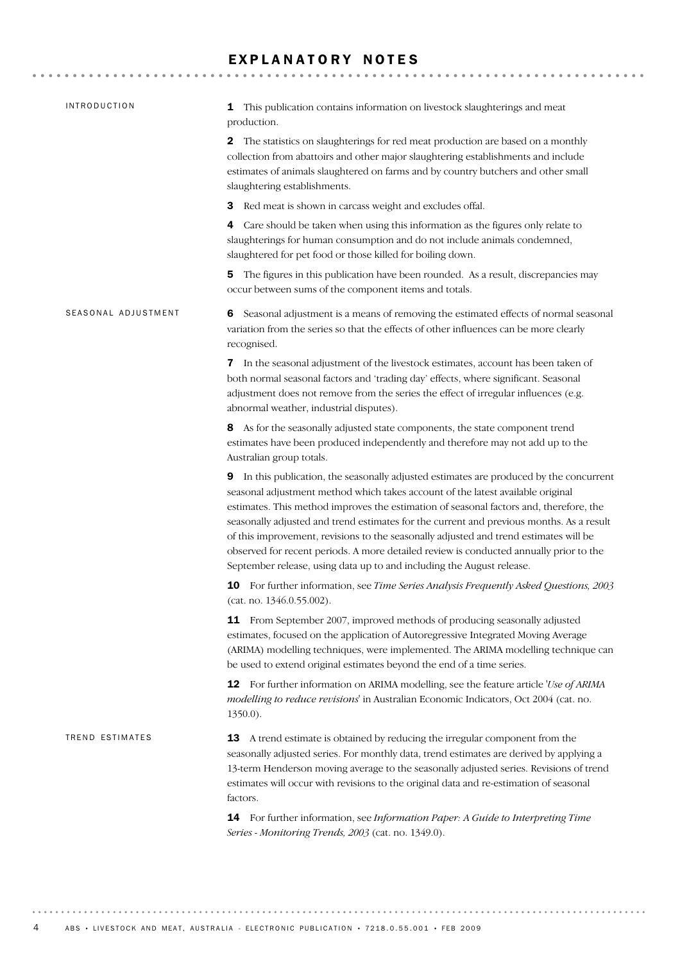### EXPLANATORY NOTES

| <b>INTRODUCTION</b> | This publication contains information on livestock slaughterings and meat<br>1<br>production.                                                                                                                                                                                                                                                                                                                                                                                                                                                                                                                                   |
|---------------------|---------------------------------------------------------------------------------------------------------------------------------------------------------------------------------------------------------------------------------------------------------------------------------------------------------------------------------------------------------------------------------------------------------------------------------------------------------------------------------------------------------------------------------------------------------------------------------------------------------------------------------|
|                     | The statistics on slaughterings for red meat production are based on a monthly<br>2<br>collection from abattoirs and other major slaughtering establishments and include<br>estimates of animals slaughtered on farms and by country butchers and other small<br>slaughtering establishments.                                                                                                                                                                                                                                                                                                                                   |
|                     | Red meat is shown in carcass weight and excludes offal.<br>З                                                                                                                                                                                                                                                                                                                                                                                                                                                                                                                                                                    |
|                     | Care should be taken when using this information as the figures only relate to<br>4<br>slaughterings for human consumption and do not include animals condemned,<br>slaughtered for pet food or those killed for boiling down.                                                                                                                                                                                                                                                                                                                                                                                                  |
|                     | The figures in this publication have been rounded. As a result, discrepancies may<br>5<br>occur between sums of the component items and totals.                                                                                                                                                                                                                                                                                                                                                                                                                                                                                 |
| SEASONAL ADJUSTMENT | Seasonal adjustment is a means of removing the estimated effects of normal seasonal<br>6<br>variation from the series so that the effects of other influences can be more clearly<br>recognised.                                                                                                                                                                                                                                                                                                                                                                                                                                |
|                     | 7 In the seasonal adjustment of the livestock estimates, account has been taken of<br>both normal seasonal factors and 'trading day' effects, where significant. Seasonal<br>adjustment does not remove from the series the effect of irregular influences (e.g.<br>abnormal weather, industrial disputes).                                                                                                                                                                                                                                                                                                                     |
|                     | 8 As for the seasonally adjusted state components, the state component trend<br>estimates have been produced independently and therefore may not add up to the<br>Australian group totals.                                                                                                                                                                                                                                                                                                                                                                                                                                      |
|                     | In this publication, the seasonally adjusted estimates are produced by the concurrent<br>9<br>seasonal adjustment method which takes account of the latest available original<br>estimates. This method improves the estimation of seasonal factors and, therefore, the<br>seasonally adjusted and trend estimates for the current and previous months. As a result<br>of this improvement, revisions to the seasonally adjusted and trend estimates will be<br>observed for recent periods. A more detailed review is conducted annually prior to the<br>September release, using data up to and including the August release. |
|                     | <b>10</b> For further information, see Time Series Analysis Frequently Asked Questions, 2003<br>(cat. no. 1346.0.55.002).                                                                                                                                                                                                                                                                                                                                                                                                                                                                                                       |
|                     | 11 From September 2007, improved methods of producing seasonally adjusted<br>estimates, focused on the application of Autoregressive Integrated Moving Average<br>(ARIMA) modelling techniques, were implemented. The ARIMA modelling technique can<br>be used to extend original estimates beyond the end of a time series.                                                                                                                                                                                                                                                                                                    |
|                     | <b>12</b> For further information on ARIMA modelling, see the feature article 'Use of ARIMA<br>modelling to reduce revisions' in Australian Economic Indicators, Oct 2004 (cat. no.<br>$1350.0$ ).                                                                                                                                                                                                                                                                                                                                                                                                                              |
| TREND ESTIMATES     | A trend estimate is obtained by reducing the irregular component from the<br>13<br>seasonally adjusted series. For monthly data, trend estimates are derived by applying a<br>13-term Henderson moving average to the seasonally adjusted series. Revisions of trend<br>estimates will occur with revisions to the original data and re-estimation of seasonal<br>factors.                                                                                                                                                                                                                                                      |
|                     | 14 For further information, see Information Paper: A Guide to Interpreting Time<br>Series - Monitoring Trends, 2003 (cat. no. 1349.0).                                                                                                                                                                                                                                                                                                                                                                                                                                                                                          |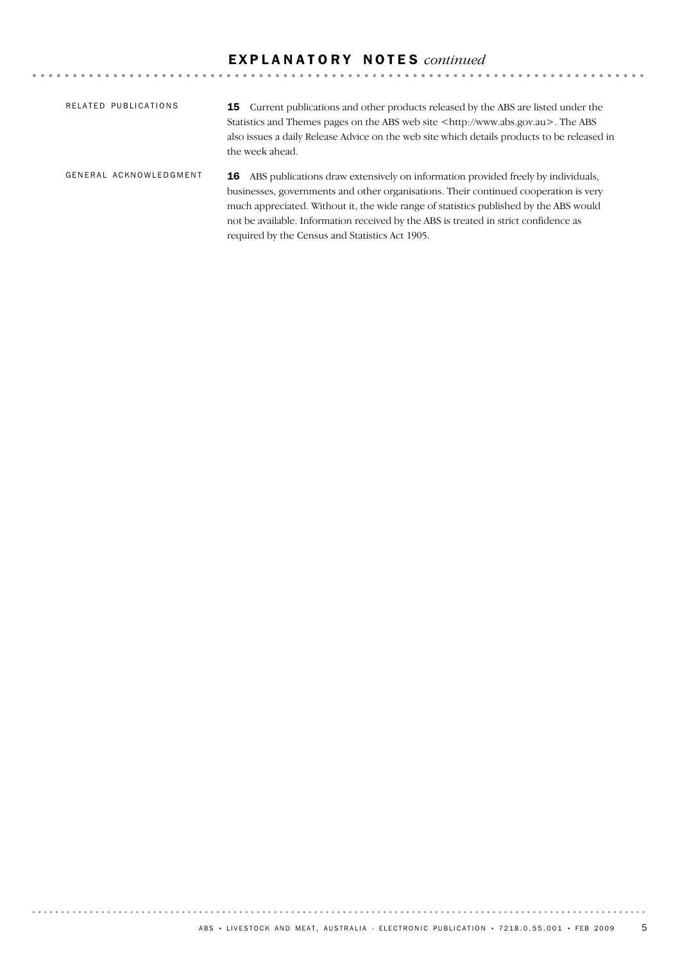# E X P L A N A T O R Y N O T E S *continued*

| RELATED PUBLICATIONS   | <b>15</b> Current publications and other products released by the ABS are listed under the<br>Statistics and Themes pages on the ABS web site $\langle \text{http://www.abs.gov.au>}.$ The ABS<br>also issues a daily Release Advice on the web site which details products to be released in<br>the week ahead.                                                                                                       |
|------------------------|------------------------------------------------------------------------------------------------------------------------------------------------------------------------------------------------------------------------------------------------------------------------------------------------------------------------------------------------------------------------------------------------------------------------|
| GENERAL ACKNOWLEDGMENT | <b>16</b> ABS publications draw extensively on information provided freely by individuals,<br>businesses, governments and other organisations. Their continued cooperation is very<br>much appreciated. Without it, the wide range of statistics published by the ABS would<br>not be available. Information received by the ABS is treated in strict confidence as<br>required by the Census and Statistics Act 1905. |